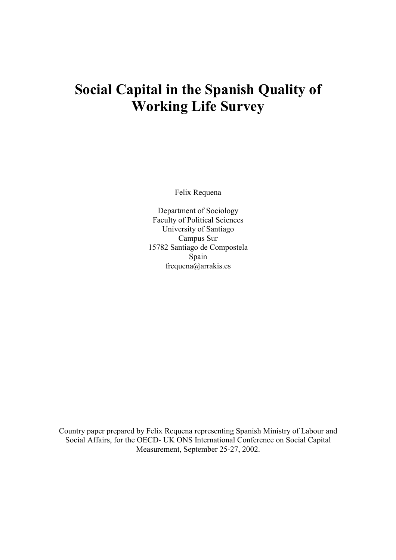# **Social Capital in the Spanish Quality of Working Life Survey**

Felix Requena

Department of Sociology Faculty of Political Sciences University of Santiago Campus Sur 15782 Santiago de Compostela Spain frequena@arrakis.es

Country paper prepared by Felix Requena representing Spanish Ministry of Labour and Social Affairs, for the OECD- UK ONS International Conference on Social Capital Measurement, September 25-27, 2002.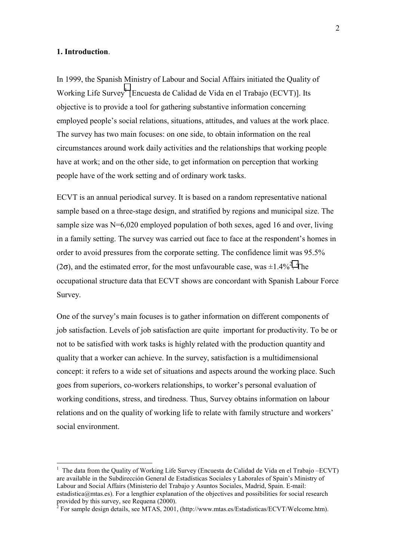# **1. Introduction**.

 $\overline{a}$ 

In 1999, the Spanish Ministry of Labour and Social Affairs initiated the Quality of Working Life Survey<sup>1</sup> [Encuesta de Calidad de Vida en el Trabajo (ECVT)]. Its objective is to provide a tool for gathering substantive information concerning employed people's social relations, situations, attitudes, and values at the work place. The survey has two main focuses: on one side, to obtain information on the real circumstances around work daily activities and the relationships that working people have at work; and on the other side, to get information on perception that working people have of the work setting and of ordinary work tasks.

ECVT is an annual periodical survey. It is based on a random representative national sample based on a three-stage design, and stratified by regions and municipal size. The sample size was N=6,020 employed population of both sexes, aged 16 and over, living in a family setting. The survey was carried out face to face at the respondent's homes in order to avoid pressures from the corporate setting. The confidence limit was 95.5% (2 $\sigma$ ), and the estimated error, for the most unfavourable case, was  $\pm 1.4\%$ <sup>2</sup>. The occupational structure data that ECVT shows are concordant with Spanish Labour Force Survey.

One of the survey's main focuses is to gather information on different components of job satisfaction. Levels of job satisfaction are quite important for productivity. To be or not to be satisfied with work tasks is highly related with the production quantity and quality that a worker can achieve. In the survey, satisfaction is a multidimensional concept: it refers to a wide set of situations and aspects around the working place. Such goes from superiors, co-workers relationships, to worker's personal evaluation of working conditions, stress, and tiredness. Thus, Survey obtains information on labour relations and on the quality of working life to relate with family structure and workers' social environment.

<sup>&</sup>lt;sup>1</sup> The data from the Quality of Working Life Survey (Encuesta de Calidad de Vida en el Trabajo –ECVT) are available in the Subdirección General de Estadísticas Sociales y Laborales of Spain's Ministry of Labour and Social Affairs (Ministerio del Trabajo y Asuntos Sociales, Madrid, Spain. E-mail: estadistica@mtas.es). For a lengthier explanation of the objectives and possibilities for social research provided by this survey, see Requena (2000).<br><sup>2</sup> For sample design details, see MTAS, 2001, (http://www.mtas.es/Estadisticas/ECVT/Welcome.htm).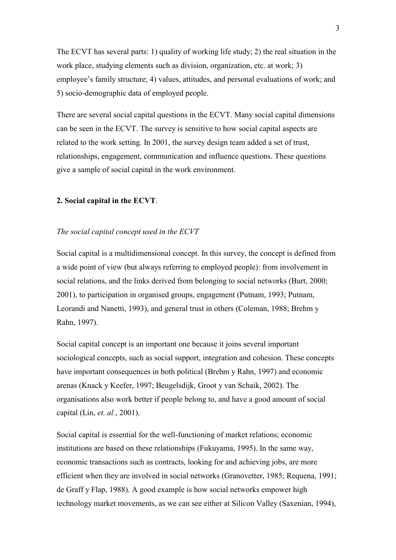The ECVT has several parts: 1) quality of working life study; 2) the real situation in the work place, studying elements such as division, organization, etc. at work; 3) employee's family structure; 4) values, attitudes, and personal evaluations of work; and 5) socio-demographic data of employed people.

There are several social capital questions in the ECVT. Many social capital dimensions can be seen in the ECVT. The survey is sensitive to how social capital aspects are related to the work setting. In 2001, the survey design team added a set of trust, relationships, engagement, communication and influence questions. These questions give a sample of social capital in the work environment.

## **2. Social capital in the ECVT**.

#### *The social capital concept used in the ECVT*

Social capital is a multidimensional concept. In this survey, the concept is defined from a wide point of view (but always referring to employed people): from involvement in social relations, and the links derived from belonging to social networks (Burt, 2000; 2001), to participation in organised groups, engagement (Putnam, 1993; Putnam, Leorandi and Nanetti, 1993), and general trust in others (Coleman, 1988; Brehm y Rahn, 1997).

Social capital concept is an important one because it joins several important sociological concepts, such as social support, integration and cohesion. These concepts have important consequences in both political (Brehm y Rahn, 1997) and economic arenas (Knack y Keefer, 1997; Beugelsdijk, Groot y van Schaik, 2002). The organisations also work better if people belong to, and have a good amount of social capital (Lin, *et. al.*, 2001).

Social capital is essential for the well-functioning of market relations; economic institutions are based on these relationships (Fukuyama, 1995). In the same way, economic transactions such as contracts, looking for and achieving jobs, are more efficient when they are involved in social networks (Granovetter, 1985; Requena, 1991; de Graff y Flap, 1988). A good example is how social networks empower high technology market movements, as we can see either at Silicon Valley (Saxenian, 1994),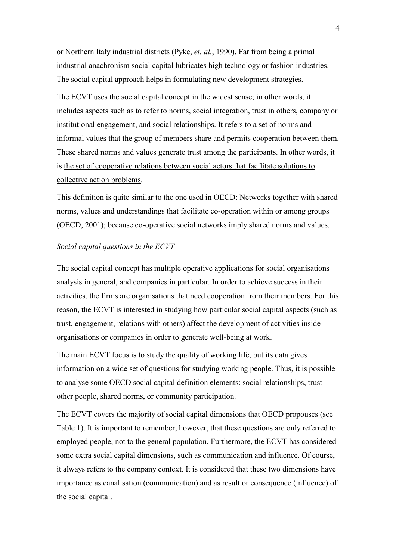or Northern Italy industrial districts (Pyke, *et. al.*, 1990). Far from being a primal industrial anachronism social capital lubricates high technology or fashion industries. The social capital approach helps in formulating new development strategies.

The ECVT uses the social capital concept in the widest sense; in other words, it includes aspects such as to refer to norms, social integration, trust in others, company or institutional engagement, and social relationships. It refers to a set of norms and informal values that the group of members share and permits cooperation between them. These shared norms and values generate trust among the participants. In other words, it is the set of cooperative relations between social actors that facilitate solutions to collective action problems.

This definition is quite similar to the one used in OECD: Networks together with shared norms, values and understandings that facilitate co-operation within or among groups (OECD, 2001); because co-operative social networks imply shared norms and values.

## *Social capital questions in the ECVT*

The social capital concept has multiple operative applications for social organisations analysis in general, and companies in particular. In order to achieve success in their activities, the firms are organisations that need cooperation from their members. For this reason, the ECVT is interested in studying how particular social capital aspects (such as trust, engagement, relations with others) affect the development of activities inside organisations or companies in order to generate well-being at work.

The main ECVT focus is to study the quality of working life, but its data gives information on a wide set of questions for studying working people. Thus, it is possible to analyse some OECD social capital definition elements: social relationships, trust other people, shared norms, or community participation.

The ECVT covers the majority of social capital dimensions that OECD propouses (see Table 1). It is important to remember, however, that these questions are only referred to employed people, not to the general population. Furthermore, the ECVT has considered some extra social capital dimensions, such as communication and influence. Of course, it always refers to the company context. It is considered that these two dimensions have importance as canalisation (communication) and as result or consequence (influence) of the social capital.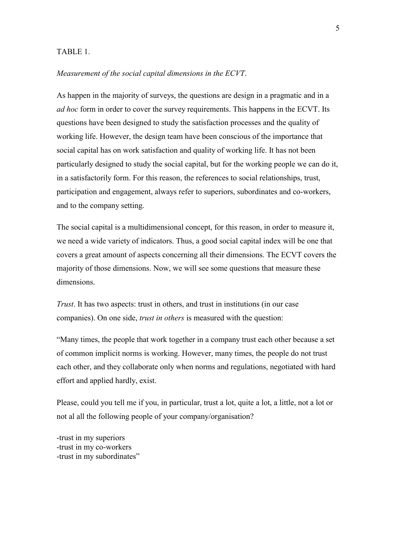# TABLE 1.

# *Measurement of the social capital dimensions in the ECVT*.

As happen in the majority of surveys, the questions are design in a pragmatic and in a *ad hoc* form in order to cover the survey requirements. This happens in the ECVT. Its questions have been designed to study the satisfaction processes and the quality of working life. However, the design team have been conscious of the importance that social capital has on work satisfaction and quality of working life. It has not been particularly designed to study the social capital, but for the working people we can do it, in a satisfactorily form. For this reason, the references to social relationships, trust, participation and engagement, always refer to superiors, subordinates and co-workers, and to the company setting.

The social capital is a multidimensional concept, for this reason, in order to measure it, we need a wide variety of indicators. Thus, a good social capital index will be one that covers a great amount of aspects concerning all their dimensions. The ECVT covers the majority of those dimensions. Now, we will see some questions that measure these dimensions.

*Trust*. It has two aspects: trust in others, and trust in institutions (in our case companies). On one side, *trust in others* is measured with the question:

"Many times, the people that work together in a company trust each other because a set of common implicit norms is working. However, many times, the people do not trust each other, and they collaborate only when norms and regulations, negotiated with hard effort and applied hardly, exist.

Please, could you tell me if you, in particular, trust a lot, quite a lot, a little, not a lot or not al all the following people of your company/organisation?

-trust in my superiors -trust in my co-workers -trust in my subordinates"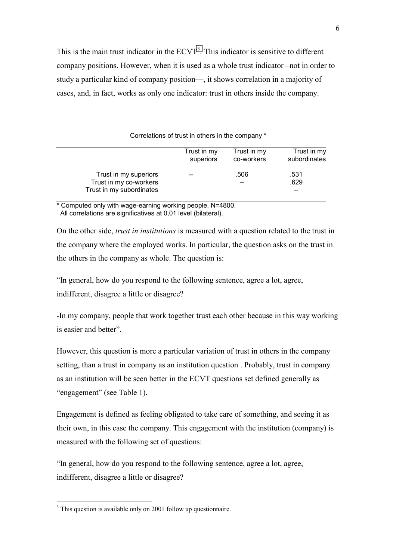This is the main trust indicator in the  $ECVT<sup>3</sup>$ . This indicator is sensitive to different company positions. However, when it is used as a whole trust indicator –not in order to study a particular kind of company position—, it shows correlation in a majority of cases, and, in fact, works as only one indicator: trust in others inside the company.

|                                                    | Trust in my<br>superiors | Trust in my<br>co-workers | Trust in my<br>subordinates |
|----------------------------------------------------|--------------------------|---------------------------|-----------------------------|
| Trust in my superiors                              |                          | .506                      | .531                        |
| Trust in my co-workers<br>Trust in my subordinates |                          |                           | .629                        |

Correlations of trust in others in the company \*

\* Computed only with wage-earning working people. N=4800. All correlations are significatives at 0,01 level (bilateral).

On the other side, *trust in institutions* is measured with a question related to the trust in the company where the employed works. In particular, the question asks on the trust in the others in the company as whole. The question is:

"In general, how do you respond to the following sentence, agree a lot, agree, indifferent, disagree a little or disagree?

-In my company, people that work together trust each other because in this way working is easier and better".

However, this question is more a particular variation of trust in others in the company setting, than a trust in company as an institution question . Probably, trust in company as an institution will be seen better in the ECVT questions set defined generally as "engagement" (see Table 1).

Engagement is defined as feeling obligated to take care of something, and seeing it as their own, in this case the company. This engagement with the institution (company) is measured with the following set of questions:

"In general, how do you respond to the following sentence, agree a lot, agree, indifferent, disagree a little or disagree?

 $\overline{a}$ 

 $3$  This question is available only on 2001 follow up questionnaire.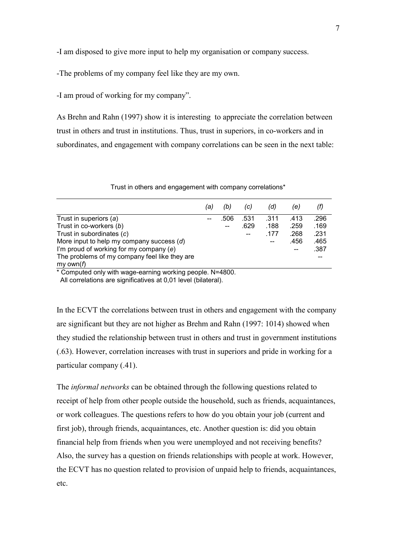-I am disposed to give more input to help my organisation or company success.

-The problems of my company feel like they are my own.

-I am proud of working for my company".

As Brehn and Rahn (1997) show it is interesting to appreciate the correlation between trust in others and trust in institutions. Thus, trust in superiors, in co-workers and in subordinates, and engagement with company correlations can be seen in the next table:

|                                                            | (a) | (b)  | (C)  | (d)  | (e)  | (f)  |
|------------------------------------------------------------|-----|------|------|------|------|------|
| Trust in superiors $(a)$                                   |     | .506 | .531 | .311 | .413 | .296 |
| Trust in co-workers (b)                                    |     | $-$  | .629 | .188 | .259 | .169 |
| Trust in subordinates (c)                                  |     |      |      | .177 | .268 | .231 |
| More input to help my company success $(d)$                |     |      |      |      | .456 | .465 |
| I'm proud of working for my company (e)                    |     |      |      |      |      | .387 |
| The problems of my company feel like they are<br>my own(f) |     |      |      |      |      |      |

Trust in others and engagement with company correlations\*

\* Computed only with wage-earning working people. N=4800.

All correlations are significatives at 0,01 level (bilateral).

In the ECVT the correlations between trust in others and engagement with the company are significant but they are not higher as Brehm and Rahn (1997: 1014) showed when they studied the relationship between trust in others and trust in government institutions (.63). However, correlation increases with trust in superiors and pride in working for a particular company (.41).

The *informal networks* can be obtained through the following questions related to receipt of help from other people outside the household, such as friends, acquaintances, or work colleagues. The questions refers to how do you obtain your job (current and first job), through friends, acquaintances, etc. Another question is: did you obtain financial help from friends when you were unemployed and not receiving benefits? Also, the survey has a question on friends relationships with people at work. However, the ECVT has no question related to provision of unpaid help to friends, acquaintances, etc.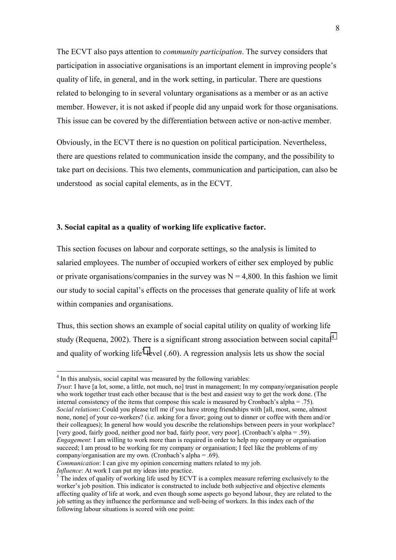The ECVT also pays attention to *community participation*. The survey considers that participation in associative organisations is an important element in improving people's quality of life, in general, and in the work setting, in particular. There are questions related to belonging to in several voluntary organisations as a member or as an active member. However, it is not asked if people did any unpaid work for those organisations. This issue can be covered by the differentiation between active or non-active member.

Obviously, in the ECVT there is no question on political participation. Nevertheless, there are questions related to communication inside the company, and the possibility to take part on decisions. This two elements, communication and participation, can also be understood as social capital elements, as in the ECVT.

## **3. Social capital as a quality of working life explicative factor.**

This section focuses on labour and corporate settings, so the analysis is limited to salaried employees. The number of occupied workers of either sex employed by public or private organisations/companies in the survey was  $N = 4,800$ . In this fashion we limit our study to social capital's effects on the processes that generate quality of life at work within companies and organisations.

Thus, this section shows an example of social capital utility on quality of working life study (Requena, 2002). There is a significant strong association between social capital<sup>4</sup> and quality of working life<sup>5</sup> level  $(.60)$ . A regression analysis lets us show the social

*Trust*: I have [a lot, some, a little, not much, no] trust in management; In my company/organisation people who work together trust each other because that is the best and easiest way to get the work done. (The internal consistency of the items that compose this scale is measured by Cronbach's alpha = .75). *Social relations*: Could you please tell me if you have strong friendships with [all, most, some, almost none, none] of your co-workers? (i.e. asking for a favor; going out to dinner or coffee with them and/or their colleagues); In general how would you describe the relationships between peers in your workplace? [very good, fairly good, neither good nor bad, fairly poor, very poor]. (Cronbach's alpha = .59). *Engagement*: I am willing to work more than is required in order to help my company or organisation succeed; I am proud to be working for my company or organisation; I feel like the problems of my company/organisation are my own. (Cronbach's alpha = .69).

 $\overline{a}$ 

<sup>&</sup>lt;sup>4</sup> In this analysis, social capital was measured by the following variables:

*Communication*: I can give my opinion concerning matters related to my job.

*Influence*: At work I can put my ideas into practice.

 $5\degree$ The index of quality of working life used by ECVT is a complex measure referring exclusively to the worker's job position. This indicator is constructed to include both subjective and objective elements affecting quality of life at work, and even though some aspects go beyond labour, they are related to the job setting as they influence the performance and well-being of workers. In this index each of the following labour situations is scored with one point: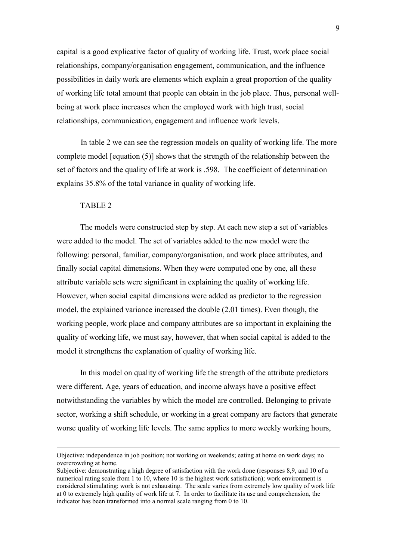capital is a good explicative factor of quality of working life. Trust, work place social relationships, company/organisation engagement, communication, and the influence possibilities in daily work are elements which explain a great proportion of the quality of working life total amount that people can obtain in the job place. Thus, personal wellbeing at work place increases when the employed work with high trust, social relationships, communication, engagement and influence work levels.

In table 2 we can see the regression models on quality of working life. The more complete model [equation (5)] shows that the strength of the relationship between the set of factors and the quality of life at work is .598. The coefficient of determination explains 35.8% of the total variance in quality of working life.

#### TABLE 2

 $\overline{a}$ 

The models were constructed step by step. At each new step a set of variables were added to the model. The set of variables added to the new model were the following: personal, familiar, company/organisation, and work place attributes, and finally social capital dimensions. When they were computed one by one, all these attribute variable sets were significant in explaining the quality of working life. However, when social capital dimensions were added as predictor to the regression model, the explained variance increased the double (2.01 times). Even though, the working people, work place and company attributes are so important in explaining the quality of working life, we must say, however, that when social capital is added to the model it strengthens the explanation of quality of working life.

In this model on quality of working life the strength of the attribute predictors were different. Age, years of education, and income always have a positive effect notwithstanding the variables by which the model are controlled. Belonging to private sector, working a shift schedule, or working in a great company are factors that generate worse quality of working life levels. The same applies to more weekly working hours,

Objective: independence in job position; not working on weekends; eating at home on work days; no overcrowding at home.

Subjective: demonstrating a high degree of satisfaction with the work done (responses 8,9, and 10 of a numerical rating scale from 1 to 10, where 10 is the highest work satisfaction); work environment is considered stimulating; work is not exhausting. The scale varies from extremely low quality of work life at 0 to extremely high quality of work life at 7. In order to facilitate its use and comprehension, the indicator has been transformed into a normal scale ranging from 0 to 10.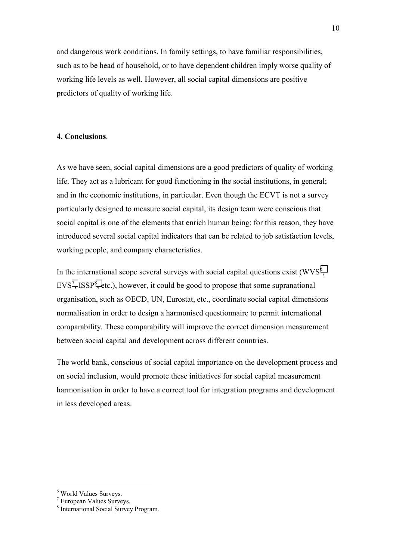and dangerous work conditions. In family settings, to have familiar responsibilities, such as to be head of household, or to have dependent children imply worse quality of working life levels as well. However, all social capital dimensions are positive predictors of quality of working life.

# **4. Conclusions**.

As we have seen, social capital dimensions are a good predictors of quality of working life. They act as a lubricant for good functioning in the social institutions, in general; and in the economic institutions, in particular. Even though the ECVT is not a survey particularly designed to measure social capital, its design team were conscious that social capital is one of the elements that enrich human being; for this reason, they have introduced several social capital indicators that can be related to job satisfaction levels, working people, and company characteristics.

In the international scope several surveys with social capital questions exist ( $WVS<sup>6</sup>$ ,  $EVS<sup>7</sup>$ , ISSP<sup>8</sup>, etc.), however, it could be good to propose that some supranational organisation, such as OECD, UN, Eurostat, etc., coordinate social capital dimensions normalisation in order to design a harmonised questionnaire to permit international comparability. These comparability will improve the correct dimension measurement between social capital and development across different countries.

The world bank, conscious of social capital importance on the development process and on social inclusion, would promote these initiatives for social capital measurement harmonisation in order to have a correct tool for integration programs and development in less developed areas.

 $\overline{a}$ 

<sup>6</sup> World Values Surveys.

<sup>7</sup> European Values Surveys.

<sup>8</sup> International Social Survey Program.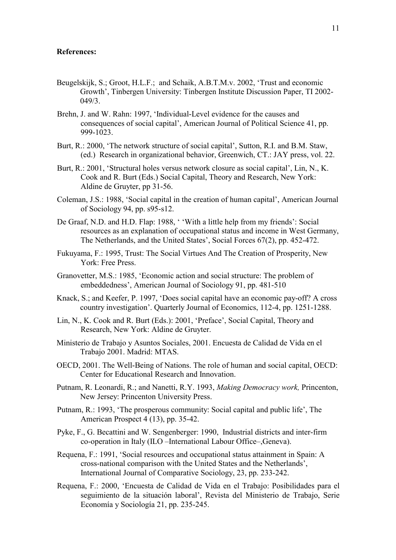#### **References:**

- Beugelskijk, S.; Groot, H.L.F.; and Schaik, A.B.T.M.v. 2002, 'Trust and economic Growth', Tinbergen University: Tinbergen Institute Discussion Paper, TI 2002- 049/3.
- Brehn, J. and W. Rahn: 1997, 'Individual-Level evidence for the causes and consequences of social capital', American Journal of Political Science 41, pp. 999-1023.
- Burt, R.: 2000, 'The network structure of social capital', Sutton, R.I. and B.M. Staw, (ed.) Research in organizational behavior, Greenwich, CT.: JAY press, vol. 22.
- Burt, R.: 2001, 'Structural holes versus network closure as social capital', Lin, N., K. Cook and R. Burt (Eds.) Social Capital, Theory and Research, New York: Aldine de Gruyter, pp 31-56.
- Coleman, J.S.: 1988, 'Social capital in the creation of human capital', American Journal of Sociology 94, pp. s95-s12.
- De Graaf, N.D. and H.D. Flap: 1988, ' 'With a little help from my friends': Social resources as an explanation of occupational status and income in West Germany, The Netherlands, and the United States', Social Forces 67(2), pp. 452-472.
- Fukuyama, F.: 1995, Trust: The Social Virtues And The Creation of Prosperity, New York: Free Press.
- Granovetter, M.S.: 1985, 'Economic action and social structure: The problem of embeddedness', American Journal of Sociology 91, pp. 481-510
- Knack, S.; and Keefer, P. 1997, 'Does social capital have an economic pay-off? A cross country investigation'. Quarterly Journal of Economics, 112-4, pp. 1251-1288.
- Lin, N., K. Cook and R. Burt (Eds.): 2001, 'Preface', Social Capital, Theory and Research, New York: Aldine de Gruyter.
- Ministerio de Trabajo y Asuntos Sociales, 2001. Encuesta de Calidad de Vida en el Trabajo 2001. Madrid: MTAS.
- OECD, 2001. The Well-Being of Nations. The role of human and social capital, OECD: Center for Educational Research and Innovation.
- Putnam, R. Leonardi, R.; and Nanetti, R.Y. 1993, *Making Democracy work,* Princenton, New Jersey: Princenton University Press.
- Putnam, R.: 1993, 'The prosperous community: Social capital and public life', The American Prospect 4 (13), pp. 35-42.
- Pyke, F., G. Becattini and W. Sengenberger: 1990, Industrial districts and inter-firm co-operation in Italy (ILO –International Labour Office–,Geneva).
- Requena, F.: 1991, 'Social resources and occupational status attainment in Spain: A cross-national comparison with the United States and the Netherlands', International Journal of Comparative Sociology, 23, pp. 233-242.
- Requena, F.: 2000, 'Encuesta de Calidad de Vida en el Trabajo: Posibilidades para el seguimiento de la situación laboral', Revista del Ministerio de Trabajo, Serie Economía y Sociología 21, pp. 235-245.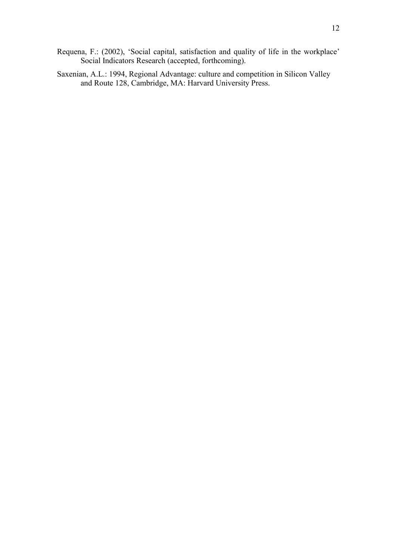- Requena, F.: (2002), 'Social capital, satisfaction and quality of life in the workplace' Social Indicators Research (accepted, forthcoming).
- Saxenian, A.L.: 1994, Regional Advantage: culture and competition in Silicon Valley and Route 128, Cambridge, MA: Harvard University Press.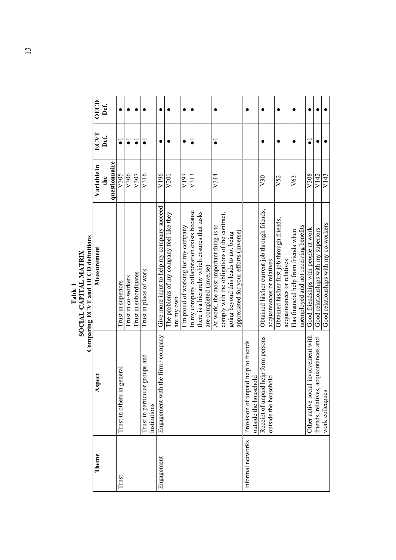|                                                                         | OECD<br>Def.                        |                               |                     |                       |                                                |                                            |                                                         |                                     |                                                                                             |                         |                                         |                                              |                                      |                                        |                                                              |                                               |                            |                                             |                            |                                      |                                       |                                      |                                       |                                       |
|-------------------------------------------------------------------------|-------------------------------------|-------------------------------|---------------------|-----------------------|------------------------------------------------|--------------------------------------------|---------------------------------------------------------|-------------------------------------|---------------------------------------------------------------------------------------------|-------------------------|-----------------------------------------|----------------------------------------------|--------------------------------------|----------------------------------------|--------------------------------------------------------------|-----------------------------------------------|----------------------------|---------------------------------------------|----------------------------|--------------------------------------|---------------------------------------|--------------------------------------|---------------------------------------|---------------------------------------|
|                                                                         | ECVT<br>Def.                        | $\overline{\bullet}$          | 7                   | 7                     | 7                                              |                                            |                                                         |                                     | <b>.</b>                                                                                    |                         | $\overline{\bullet}$                    |                                              |                                      |                                        |                                                              |                                               |                            |                                             |                            |                                      |                                       |                                      |                                       |                                       |
|                                                                         | questionnaire<br>Variable in<br>the | V305                          | V306                | V307                  | V316                                           | V196                                       | V201                                                    | V <sub>197</sub>                    | V313                                                                                        |                         | V314                                    |                                              |                                      |                                        |                                                              | V30                                           |                            | V <sub>52</sub>                             |                            | V63                                  |                                       | V308                                 | V142                                  | V143                                  |
| Comparing ECVT and OECD definitions<br>SOCIAL CAPITAL MATRIX<br>Table 1 | Measurement                         | Trust in superiors            | Trust in co-workers | Trust in subordinates | Trust in place of work                         | Give more input to help my company succeed | The problems of my company feel like they<br>are my own | I'm proud of working for my company | In my company collaboration exists because<br>there is a hierarchy which ensures that tasks | are completed (inverse) | At work, the most important thing is to | comply with the obligations of the contract, | going beyond this leads to not being | appreciated for your efforts (inverse) |                                                              | Obtained his/her current job through friends, | acquaintances or relatives | Obtained his/her first job through friends, | acquaintances or relatives | Has financial help from friends when | unemployed and not receiving benefits | Good friendships with people at work | Good relationships with my superiors  | Good relationships with my co-workers |
|                                                                         | Aspect                              | in general<br>Trust in others |                     |                       | Trust in particular groups and<br>institutions | Engagement with the firm / company         |                                                         |                                     |                                                                                             |                         |                                         |                                              |                                      |                                        | Provision of unpaid help to friends<br>outside the household | Receipt of unpaid help form persons           | outside the household      |                                             |                            |                                      |                                       | Other active social involvement with | friends, relatives, acquaintances and | work colleagues                       |
|                                                                         | Theme                               | Trust                         |                     |                       |                                                | Engagement                                 |                                                         |                                     |                                                                                             |                         |                                         |                                              |                                      |                                        | Informal networks                                            |                                               |                            |                                             |                            |                                      |                                       |                                      |                                       |                                       |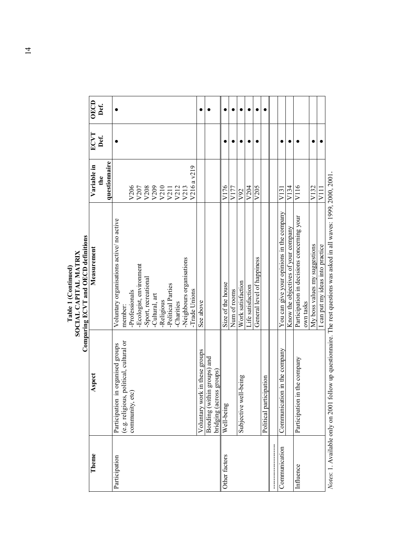| Theme         | Aspect                                      | Comparing ECVT and OECD definitions<br>Measurement                                                                     | Variable in                                                 | ECVT | OECD |
|---------------|---------------------------------------------|------------------------------------------------------------------------------------------------------------------------|-------------------------------------------------------------|------|------|
|               |                                             |                                                                                                                        |                                                             |      |      |
|               |                                             |                                                                                                                        | questionnaire<br>the                                        | Def. | Def. |
| Participation | organised groups<br>Participation in        | Voluntary organisations active/ no active                                                                              |                                                             |      |      |
|               | olitical, cultural or<br>(e.g. religious, p | member:                                                                                                                |                                                             |      |      |
|               | community, etc)                             | -Professionals                                                                                                         |                                                             |      |      |
|               |                                             | -Ecologist, environment                                                                                                |                                                             |      |      |
|               |                                             | -Sport, recreational                                                                                                   |                                                             |      |      |
|               |                                             | -Cultural, art                                                                                                         |                                                             |      |      |
|               |                                             | -Religious                                                                                                             | 905<br>2008<br>2009<br>2011<br>2013<br>2013<br>2013<br>2013 |      |      |
|               |                                             | -Political Parties                                                                                                     |                                                             |      |      |
|               |                                             | -Charities                                                                                                             |                                                             |      |      |
|               |                                             | Neighbours organisations                                                                                               |                                                             |      |      |
|               |                                             | -Trade Unions                                                                                                          | V216 a v219                                                 |      |      |
|               | in these groups<br>Voluntary work           | See above                                                                                                              |                                                             |      |      |
|               | groups) and<br>Bonding (within              |                                                                                                                        |                                                             |      |      |
|               | groups)<br>bridging (across                 |                                                                                                                        |                                                             |      |      |
| Other factors | Well-being                                  | Size of the house                                                                                                      | V176                                                        |      |      |
|               |                                             | Num of rooms                                                                                                           | V177                                                        |      |      |
|               | Subjective well-being                       | Work satisfaction                                                                                                      | V92                                                         |      |      |
|               |                                             | Life satisfaction                                                                                                      | V204                                                        |      |      |
|               |                                             | General level of happiness                                                                                             | V205                                                        |      |      |
|               | pation<br>Political particip                |                                                                                                                        |                                                             |      |      |
|               |                                             |                                                                                                                        |                                                             |      |      |
| Communication | in the company<br>Communication             | You can give your opinions in the company                                                                              | V131                                                        |      |      |
|               |                                             | Know the objectives of your company                                                                                    | V134                                                        |      |      |
| Influence     | the company<br>Participation in             | Participation in decisions concerning your                                                                             | V116                                                        |      |      |
|               |                                             | own tasks                                                                                                              |                                                             |      |      |
|               |                                             | My boss values my suggestions                                                                                          | V132                                                        |      |      |
|               |                                             | I can put my ideas into practice                                                                                       | V11                                                         |      |      |
|               |                                             | Notes: 1. Available only on 2001 follow up questionnaire. The rest questions was asked in all waves: 1999, 2000, 2001. |                                                             |      |      |

Table 1 (Continued)<br>SOCIAL CAPITAL MATRIX **SOCIAL CAPITAL MATRIX Table 1 (Continued)** 

14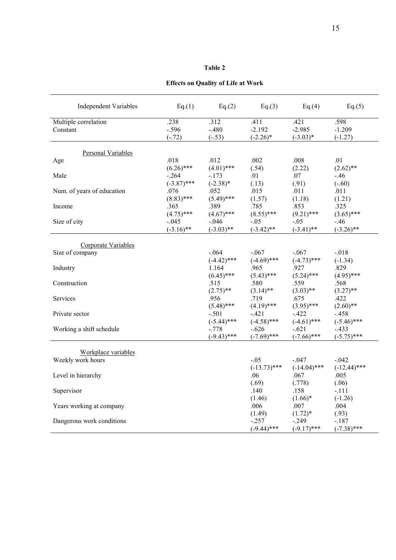| m<br>л<br>π |  |
|-------------|--|
|-------------|--|

| <b>Independent Variables</b> | Eq.(1)        | Eq.(2)        | Eq.(3)         | Eq.(4)         | Eq.(5)         |
|------------------------------|---------------|---------------|----------------|----------------|----------------|
| Multiple correlation         | .238          | .312          | .411           | .421           | .598           |
| Constant                     | $-.596$       | $-.480$       | $-2.192$       | $-2.985$       | $-1.209$       |
|                              | $(-.72)$      | $(-.53)$      | $(-2.26)^*$    | $(-3.03)*$     | $(-1.27)$      |
|                              |               |               |                |                |                |
| Personal Variables           |               |               |                |                |                |
| Age                          | .018          | .012          | .002           | .008           | .01            |
|                              | $(6.26)$ ***  | $(4.01)$ ***  | (.54)          | (2.22)         | $(2.62)$ **    |
| Male                         | $-.264$       | $-.173$       | .01            | .07            | $-46$          |
|                              | $(-3.87)$ *** | $(-2.38)*$    | (.13)          | (.91)          | $(-.60)$       |
| Num. of years of education   | .076          | .052          | .015           | .011           | .011           |
|                              | $(8.83)$ ***  | $(5.49)$ ***  | (1.57)         | (1.18)         | (1.21)         |
| Income                       | .365          | .389          | .785           | .853           | .325           |
|                              | $(4.75)$ ***  | $(4.67)$ ***  | $(8.55)$ ***   | $(9.21)$ ***   | $(3.65)$ ***   |
| Size of city                 | $-.045$       | $-.046$       | $-.05$         | $-.05$         | $-46$          |
|                              | $(-3.16)$ **  | $(-3.03)$ **  | $(-3.42)$ **   | $(-3.41)$ **   | $(-3.26)$ **   |
| Corporate Variables          |               |               |                |                |                |
| Size of company              |               | $-.064$       | $-.067$        | $-.067$        | $-.018$        |
|                              |               | $(-4.42)$ *** | $(-4.69)$ ***  | $(-4.73)$ ***  | $(-1.34)$      |
| Industry                     |               | 1.164         | .965           | .927           | .829           |
|                              |               | $(6.45)$ ***  | $(5.43)$ ***   | $(5.24)$ ***   | $(4.95)$ ***   |
| Construction                 |               | .515          | .580           | .559           | .568           |
|                              |               | $(2.75)$ **   | $(3.14)$ **    | $(3.03)$ **    | $(3.27)$ **    |
| Services                     |               | .956          | .719           | .675           | .422           |
|                              |               | $(5.48)$ ***  | $(4.19)$ ***   | $(3.95)$ ***   | $(2.60)$ **    |
| Private sector               |               | $-.501$       | $-.421$        | $-.422$        | $-.458$        |
|                              |               | $(-5.44)$ *** | $(-4.58)$ ***  | $(-4.61)$ ***  | $(-5.46)$ ***  |
| Working a shift schedule     |               | $-.778$       | $-.626$        | $-.621$        | $-.433$        |
|                              |               | $(-9.43)$ *** | $(-7.69)$ ***  | $(-7.66)$ ***  | $(-5.75)$ ***  |
|                              |               |               |                |                |                |
| Workplace variables          |               |               |                |                |                |
| Weekly work hours            |               |               | $-.05$         | $-.047$        | $-.042$        |
|                              |               |               | $(-13.73)$ *** | $(-14.04)$ *** | $(-12.44)$ *** |
| Level in hierarchy           |               |               | .06            | .067           | .005           |
|                              |               |               | (.69)          | (.778)         | (.06)          |
| Supervisor                   |               |               | .140           | .158           | $-.111$        |
|                              |               |               | (1.46)         | $(1.66)^*$     | $(-1.26)$      |
| Years working at company     |               |               | .006           | .007           | .004           |
|                              |               |               | (1.49)         | $(1.72)^*$     | (.93)          |
| Dangerous work conditions    |               |               | $-.257$        | $-.249$        | $-.187$        |
|                              |               |               | $(-9.44)$ ***  | $(-9.17)$ ***  | $(-7.38)$ ***  |